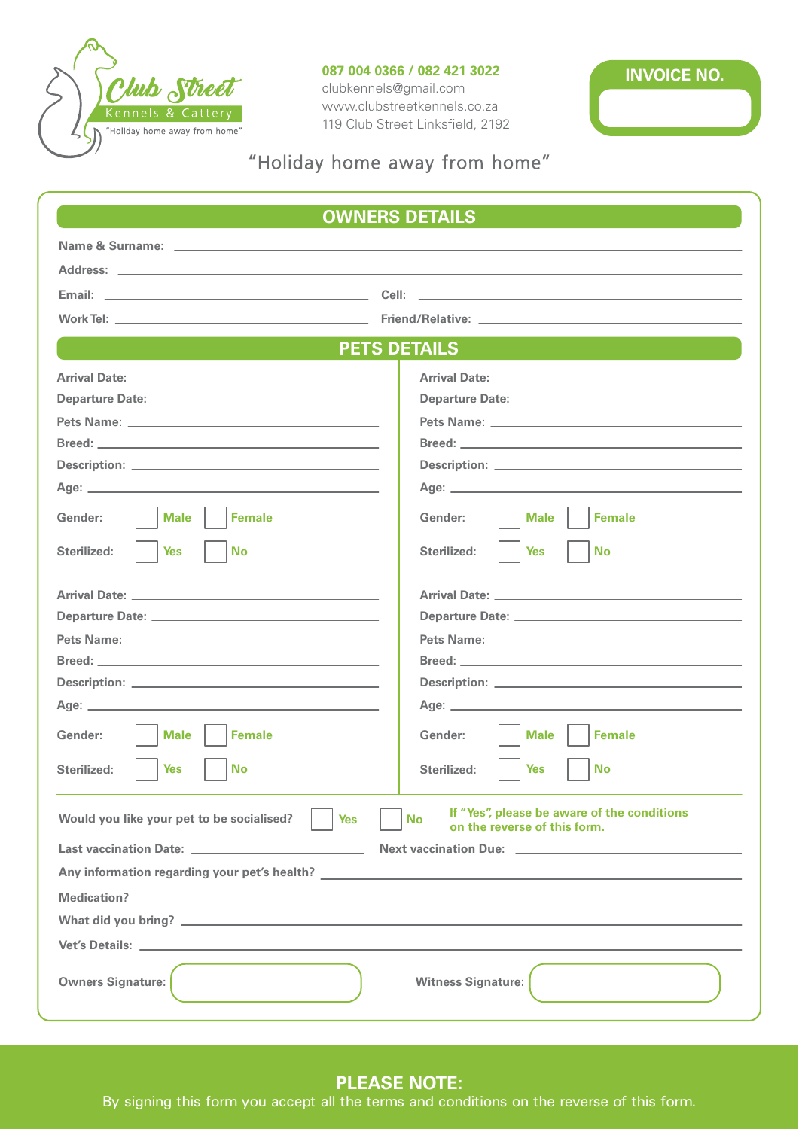

### **087 004 0366 / 082 421 3022**

clubkennels@gmail.com www.clubstreetkennels.co.za 119 Club Street Linksfield, 2192



# "Holiday home away from home"

| <b>OWNERS DETAILS</b>                                                                                                                                                                                                                |                                                                                                                                                                                  |
|--------------------------------------------------------------------------------------------------------------------------------------------------------------------------------------------------------------------------------------|----------------------------------------------------------------------------------------------------------------------------------------------------------------------------------|
|                                                                                                                                                                                                                                      |                                                                                                                                                                                  |
|                                                                                                                                                                                                                                      |                                                                                                                                                                                  |
| Email: <u>Alexander Adam and Alexander Adam and Alexander Adam and Alexander Adam and Alexander Adam and Alexander Adam and Alexander Adam and Alexander Adam and Alexander Adam and Alexander Adam and Alexander Adam and Alexa</u> | Cell: <b>Cell</b> : <b>Cell Cell Cell Cell Cell Cell Cell Cell Cell Cell Cell Cell Cell Cell Cell Cell Cell Cell Cell Cell Cell Cell Cell Cell Cell Cell Cell Cell Cell Cell</b> |
|                                                                                                                                                                                                                                      |                                                                                                                                                                                  |
| <b>PETS DETAILS</b>                                                                                                                                                                                                                  |                                                                                                                                                                                  |
|                                                                                                                                                                                                                                      | <b>Arrival Date:</b> Arrival Date:                                                                                                                                               |
|                                                                                                                                                                                                                                      |                                                                                                                                                                                  |
|                                                                                                                                                                                                                                      |                                                                                                                                                                                  |
|                                                                                                                                                                                                                                      |                                                                                                                                                                                  |
|                                                                                                                                                                                                                                      |                                                                                                                                                                                  |
|                                                                                                                                                                                                                                      |                                                                                                                                                                                  |
| Gender:<br><b>Female</b><br><b>Male</b>                                                                                                                                                                                              | <b>Female</b><br>Gender:<br><b>Male</b>                                                                                                                                          |
| <b>No</b><br>Sterilized:<br><b>Yes</b>                                                                                                                                                                                               | <b>Yes</b><br><b>No</b><br>Sterilized:                                                                                                                                           |
|                                                                                                                                                                                                                                      | Arrival Date: <u>Arrival Date: Arrival Date: Arrival Date: Arrival Date: Arrival Date: Arrival Date: Arrival Date: A</u>                                                         |
|                                                                                                                                                                                                                                      |                                                                                                                                                                                  |
|                                                                                                                                                                                                                                      |                                                                                                                                                                                  |
|                                                                                                                                                                                                                                      |                                                                                                                                                                                  |
|                                                                                                                                                                                                                                      |                                                                                                                                                                                  |
|                                                                                                                                                                                                                                      |                                                                                                                                                                                  |
| Gender:<br><b>Female</b><br><b>Male</b>                                                                                                                                                                                              | Gender:<br><b>Female</b><br><b>Male</b>                                                                                                                                          |
| Sterilized:<br>Yes<br>No                                                                                                                                                                                                             | Sterilized:<br><b>No</b><br>Yes                                                                                                                                                  |
| If "Yes", please be aware of the conditions<br>Would you like your pet to be socialised?<br><b>No</b><br><b>Yes</b><br>on the reverse of this form.                                                                                  |                                                                                                                                                                                  |
|                                                                                                                                                                                                                                      |                                                                                                                                                                                  |
|                                                                                                                                                                                                                                      |                                                                                                                                                                                  |
|                                                                                                                                                                                                                                      |                                                                                                                                                                                  |
|                                                                                                                                                                                                                                      |                                                                                                                                                                                  |
|                                                                                                                                                                                                                                      |                                                                                                                                                                                  |
| <b>Owners Signature:</b>                                                                                                                                                                                                             | <b>Witness Signature:</b>                                                                                                                                                        |

## **PLEASE NOTE:**

By signing this form you accept all the terms and conditions on the reverse of this form.